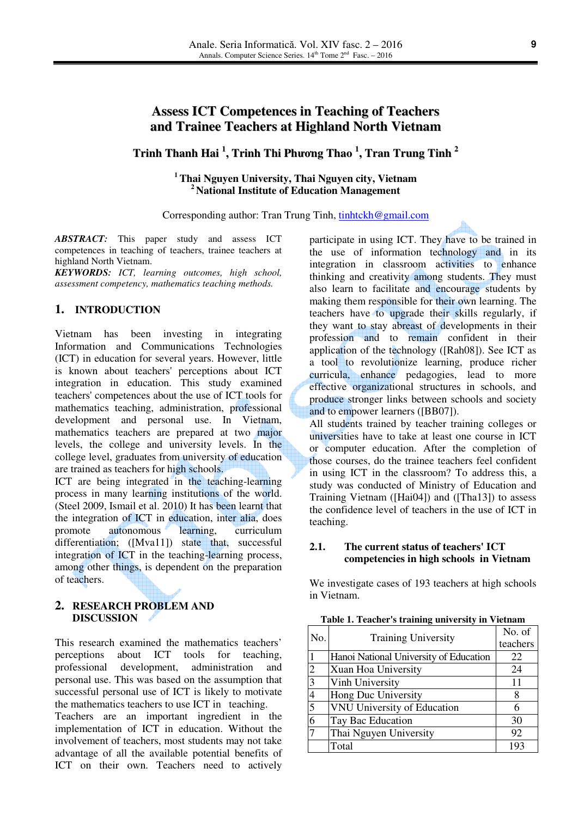# **Assess ICT Competences in Teaching of Teachers and Trainee Teachers at Highland North Vietnam**

# **Trinh Thanh Hai 1 , Trinh Thi Ph**ươ**ng Thao 1 , Tran Trung Tinh 2**

**<sup>1</sup>Thai Nguyen University, Thai Nguyen city, Vietnam <sup>2</sup>National Institute of Education Management** 

Corresponding author: Tran Trung Tinh, tinhtckh@gmail.com

*ABSTRACT:* This paper study and assess ICT competences in teaching of teachers, trainee teachers at highland North Vietnam.

*KEYWORDS: ICT, learning outcomes, high school, assessment competency, mathematics teaching methods.* 

### **1. INTRODUCTION**

Vietnam has been investing in integrating Information and Communications Technologies (ICT) in education for several years. However, little is known about teachers' perceptions about ICT integration in education. This study examined teachers' competences about the use of ICT tools for mathematics teaching, administration, professional development and personal use. In Vietnam, mathematics teachers are prepared at two major levels, the college and university levels. In the college level, graduates from university of education are trained as teachers for high schools.

ICT are being integrated in the teaching-learning process in many learning institutions of the world. (Steel 2009, Ismail et al. 2010) It has been learnt that the integration of ICT in education, inter alia, does promote autonomous learning, curriculum differentiation; ([Mva11]) state that, successful integration of ICT in the teaching-learning process, among other things, is dependent on the preparation of teachers.

### **2. RESEARCH PROBLEM AND DISCUSSION**

This research examined the mathematics teachers' perceptions about ICT tools for teaching, professional development, administration and personal use. This was based on the assumption that successful personal use of ICT is likely to motivate the mathematics teachers to use ICT in teaching.

Teachers are an important ingredient in the implementation of ICT in education. Without the involvement of teachers, most students may not take advantage of all the available potential benefits of ICT on their own. Teachers need to actively

participate in using ICT. They have to be trained in the use of information technology and in its integration in classroom activities to enhance thinking and creativity among students. They must also learn to facilitate and encourage students by making them responsible for their own learning. The teachers have to upgrade their skills regularly, if they want to stay abreast of developments in their profession and to remain confident in their application of the technology ([Rah08]). See ICT as a tool to revolutionize learning, produce richer curricula, enhance pedagogies, lead to more effective organizational structures in schools, and produce stronger links between schools and society and to empower learners ([BB07]).

All students trained by teacher training colleges or universities have to take at least one course in ICT or computer education. After the completion of those courses, do the trainee teachers feel confident in using ICT in the classroom? To address this, a study was conducted of Ministry of Education and Training Vietnam ([Hai04]) and ([Tha13]) to assess the confidence level of teachers in the use of ICT in teaching.

# **2.1. The current status of teachers' ICT competencies in high schools in Vietnam**

We investigate cases of 193 teachers at high schools in Vietnam.

**Table 1. Teacher's training university in Vietnam**

| No. | <b>Training University</b>             | No. of   |
|-----|----------------------------------------|----------|
|     |                                        | teachers |
|     | Hanoi National University of Education | 22       |
| 2   | Xuan Hoa University                    | 24       |
| 3   | Vinh University                        | 11       |
| 4   | Hong Duc University                    | 8        |
| 5   | VNU University of Education            |          |
| 6   | Tay Bac Education                      | 30       |
| 7   | Thai Nguyen University                 | 92       |
|     | Total                                  | 193      |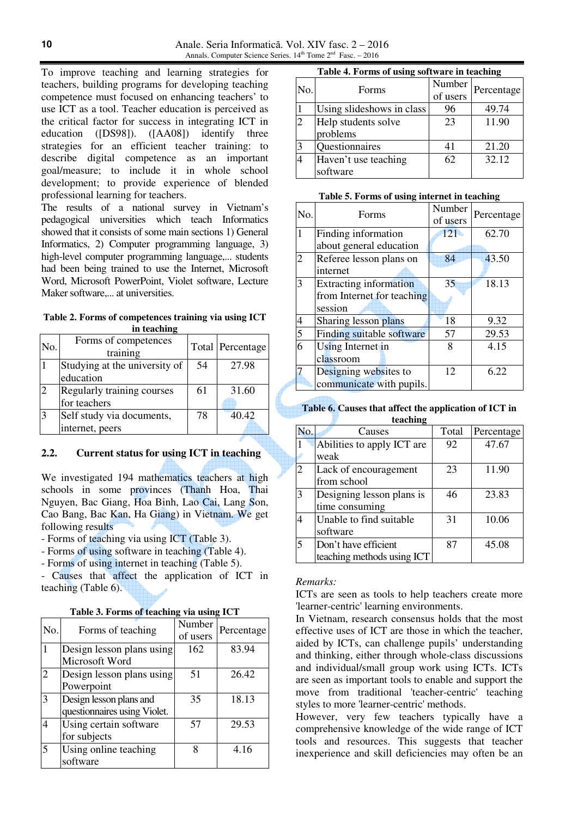To improve teaching and learning strategies for teachers, building programs for developing teaching competence must focused on enhancing teachers' to use ICT as a tool. Teacher education is perceived as the critical factor for success in integrating ICT in education ([DS98]). ([AA08]) identify three strategies for an efficient teacher training: to describe digital competence as an important goal/measure; to include it in whole school development; to provide experience of blended professional learning for teachers.

The results of a national survey in Vietnam's pedagogical universities which teach Informatics showed that it consists of some main sections 1) General Informatics, 2) Computer programming language, 3) high-level computer programming language,... students had been being trained to use the Internet, Microsoft Word, Microsoft PowerPoint, Violet software, Lecture Maker software,... at universities.

**Table 2. Forms of competences training via using ICT in teaching** 

| No. | Forms of competences<br>training |    | Total Percentage |
|-----|----------------------------------|----|------------------|
|     | Studying at the university of    | 54 | 27.98            |
|     | education                        |    |                  |
|     | Regularly training courses       | 61 | 31.60            |
|     | for teachers                     |    |                  |
|     | Self study via documents,        | 78 | 40.42            |
|     | internet, peers                  |    |                  |

## **2.2. Current status for using ICT in teaching**

We investigated 194 mathematics teachers at high schools in some provinces (Thanh Hoa, Thai Nguyen, Bac Giang, Hoa Binh, Lao Cai, Lang Son, Cao Bang, Bac Kan, Ha Giang) in Vietnam. We get following results

- Forms of teaching via using ICT (Table 3).

- Forms of using software in teaching (Table 4).

- Forms of using internet in teaching (Table 5).

- Causes that affect the application of ICT in teaching (Table 6).

| No. | Forms of teaching            | Number<br>of users | Percentage |
|-----|------------------------------|--------------------|------------|
|     | Design lesson plans using    | 162                | 83.94      |
|     | Microsoft Word               |                    |            |
| 2   | Design lesson plans using    | 51                 | 26.42      |
|     | Powerpoint                   |                    |            |
|     | Design lesson plans and      | 35                 | 18.13      |
|     | questionnaires using Violet. |                    |            |
| 4   | Using certain software       | 57                 | 29.53      |
|     | for subjects                 |                    |            |
| 5   | Using online teaching        | 8                  | 4.16       |
|     | software                     |                    |            |

#### **Table 4. Forms of using software in teaching**

| No.            | Forms                     | Number<br>of users | Percentage |
|----------------|---------------------------|--------------------|------------|
|                | Using slideshows in class | 96                 | 49.74      |
| $\overline{2}$ | Help students solve       | 23                 | 11.90      |
|                | problems                  |                    |            |
| $\overline{3}$ | Questionnaires            | 41                 | 21.20      |
|                | Haven't use teaching      | 62                 | 32.12      |
|                | software                  |                    |            |

#### **Table 5. Forms of using internet in teaching**

| No.          | Forms                         | Number<br>of users | Percentage |
|--------------|-------------------------------|--------------------|------------|
| $\mathbf{1}$ | Finding information           | 121                | 62.70      |
|              | about general education       |                    |            |
| 2            | Referee lesson plans on       | 84                 | 43.50      |
|              | internet                      |                    |            |
| 3            | <b>Extracting information</b> | 35                 | 18.13      |
|              | from Internet for teaching    |                    |            |
|              | session                       |                    |            |
| 4            | Sharing lesson plans          | 18                 | 9.32       |
| 5            | Finding suitable software     | 57                 | 29.53      |
| 6            | Using Internet in             | 8                  | 4.15       |
|              | classroom                     |                    |            |
|              | Designing websites to         | 12                 | 6.22       |
|              | communicate with pupils.      |                    |            |

**Table 6. Causes that affect the application of ICT in teaching** 

| No.            | Causes                     | Total | Percentage |
|----------------|----------------------------|-------|------------|
|                | Abilities to apply ICT are | 92    | 47.67      |
|                | weak                       |       |            |
| $\overline{2}$ | Lack of encouragement      | 23    | 11.90      |
|                | from school                |       |            |
| 3              | Designing lesson plans is  | 46    | 23.83      |
|                | time consuming             |       |            |
| $\overline{A}$ | Unable to find suitable    | 31    | 10.06      |
|                | software                   |       |            |
|                | Don't have efficient       | 87    | 45.08      |
|                | teaching methods using ICT |       |            |

#### *Remarks:*

ICTs are seen as tools to help teachers create more 'learner-centric' learning environments.

In Vietnam, research consensus holds that the most effective uses of ICT are those in which the teacher, aided by ICTs, can challenge pupils' understanding and thinking, either through whole-class discussions and individual/small group work using ICTs. ICTs are seen as important tools to enable and support the move from traditional 'teacher-centric' teaching styles to more 'learner-centric' methods.

However, very few teachers typically have a comprehensive knowledge of the wide range of ICT tools and resources. This suggests that teacher inexperience and skill deficiencies may often be an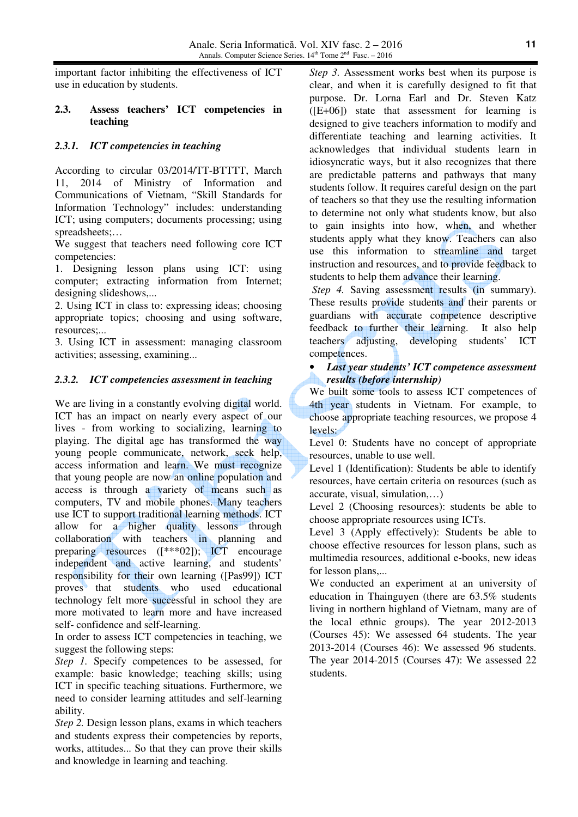important factor inhibiting the effectiveness of ICT use in education by students.

# **2.3. Assess teachers' ICT competencies in teaching**

# *2.3.1. ICT competencies in teaching*

According to circular 03/2014/TT-BTTTT, March 11, 2014 of Ministry of Information and Communications of Vietnam, "Skill Standards for Information Technology" includes: understanding ICT; using computers; documents processing; using spreadsheets;…

We suggest that teachers need following core ICT competencies:

1. Designing lesson plans using ICT: using computer; extracting information from Internet; designing slideshows,...

2. Using ICT in class to: expressing ideas; choosing appropriate topics; choosing and using software, resources;...

3. Using ICT in assessment: managing classroom activities; assessing, examining...

# *2.3.2. ICT competencies assessment in teaching*

We are living in a constantly evolving digital world. ICT has an impact on nearly every aspect of our lives - from working to socializing, learning to playing. The digital age has transformed the way young people communicate, network, seek help, access information and learn. We must recognize that young people are now an online population and access is through a variety of means such as computers, TV and mobile phones. Many teachers use ICT to support traditional learning methods. ICT allow for a higher quality lessons through collaboration with teachers in planning and preparing resources ([\*\*\*02]); ICT encourage independent and active learning, and students' responsibility for their own learning ([Pas99]) ICT proves that students who used educational technology felt more successful in school they are more motivated to learn more and have increased self- confidence and self-learning.

In order to assess ICT competencies in teaching, we suggest the following steps:

*Step 1.* Specify competences to be assessed, for example: basic knowledge; teaching skills; using ICT in specific teaching situations. Furthermore, we need to consider learning attitudes and self-learning ability.

*Step 2.* Design lesson plans, exams in which teachers and students express their competencies by reports, works, attitudes... So that they can prove their skills and knowledge in learning and teaching.

*Step 3.* Assessment works best when its purpose is clear, and when it is carefully designed to fit that purpose. Dr. Lorna Earl and Dr. Steven Katz  $(E+06)$  state that assessment for learning is designed to give teachers information to modify and differentiate teaching and learning activities. It acknowledges that individual students learn in idiosyncratic ways, but it also recognizes that there are predictable patterns and pathways that many students follow. It requires careful design on the part of teachers so that they use the resulting information to determine not only what students know, but also to gain insights into how, when, and whether students apply what they know. Teachers can also use this information to streamline and target instruction and resources, and to provide feedback to students to help them advance their learning.

*Step 4.* Saving assessment results (in summary). These results provide students and their parents or guardians with accurate competence descriptive feedback to further their learning. It also help teachers adjusting, developing students' ICT competences.

# • *Last year students' ICT competence assessment results (before internship)*

We built some tools to assess ICT competences of 4th year students in Vietnam. For example, to choose appropriate teaching resources, we propose 4 levels:

Level 0: Students have no concept of appropriate resources, unable to use well.

Level 1 (Identification): Students be able to identify resources, have certain criteria on resources (such as accurate, visual, simulation,…)

Level 2 (Choosing resources): students be able to choose appropriate resources using ICTs.

Level 3 (Apply effectively): Students be able to choose effective resources for lesson plans, such as multimedia resources, additional e-books, new ideas for lesson plans,...

We conducted an experiment at an university of education in Thainguyen (there are 63.5% students living in northern highland of Vietnam, many are of the local ethnic groups). The year 2012-2013 (Courses 45): We assessed 64 students. The year 2013-2014 (Courses 46): We assessed 96 students. The year 2014-2015 (Courses 47): We assessed 22 students.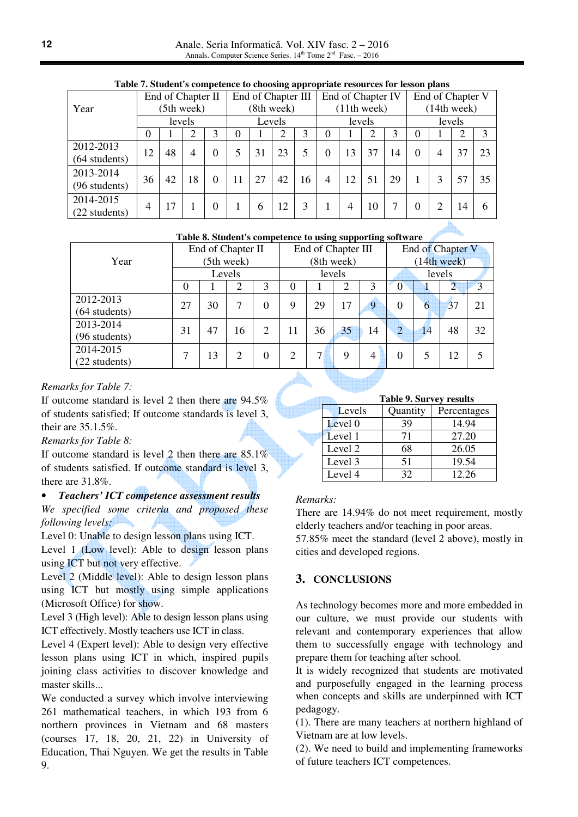| Taste resourcires competence to enossing appropriate resources for resson plans |    |    |                   |          |   |        |                    |        |   |    |                   |    |          |   |                  |    |
|---------------------------------------------------------------------------------|----|----|-------------------|----------|---|--------|--------------------|--------|---|----|-------------------|----|----------|---|------------------|----|
|                                                                                 |    |    | End of Chapter II |          |   |        | End of Chapter III |        |   |    | End of Chapter IV |    |          |   | End of Chapter V |    |
| Year                                                                            |    |    | (5th week)        |          |   |        | (8th week)         |        |   |    | (11th week)       |    |          |   | (14th week)      |    |
|                                                                                 |    |    | levels            |          |   | Levels |                    | levels |   |    | levels            |    |          |   |                  |    |
|                                                                                 | 0  |    |                   | 3        | 0 |        |                    | 3      | 0 |    |                   |    | $\theta$ |   |                  | 3  |
| 2012-2013<br>$(64$ students)                                                    | 12 | 48 | 4                 | $\Omega$ |   | 31     | 23                 | 5      |   | 13 | 37                | 14 | $\theta$ | 4 | 37               | 23 |
| 2013-2014<br>(96 students)                                                      | 36 | 42 | 18                | $\Omega$ |   | 27     | 42                 | 16     | 4 | 12 | 51                | 29 |          |   | 57               | 35 |
| 2014-2015<br>(22 students)                                                      | 4  | 17 |                   | $\Omega$ |   | 6      | 12                 |        |   | 4  | 10                |    | $\Omega$ |   | 14               | 6  |

#### **Table 7. Student's competence to choosing appropriate resources for lesson plans**

#### **Table 8. Student's competence to using supporting software**

|                 |    |    | End of Chapter II |                | End of Chapter III |                |            |                | End of Chapter V |    |    |    |
|-----------------|----|----|-------------------|----------------|--------------------|----------------|------------|----------------|------------------|----|----|----|
| Year            |    |    | (5th week)        |                |                    |                | (8th week) |                | (14th week)      |    |    |    |
|                 |    |    | Levels            |                | levels             |                |            |                | levels           |    |    |    |
|                 | 0  |    | 2                 | 3              | 0                  |                | 2          | 3              | 0                |    |    |    |
| 2012-2013       | 27 | 30 | 7                 | $\theta$       | 9                  | 29             | 17         | 9              | 0                | 6  | 37 | 21 |
| $(64$ students) |    |    |                   |                |                    |                |            |                |                  |    |    |    |
| 2013-2014       | 31 | 47 | 16                | $\overline{2}$ | 11                 | 36             | 35         | 14             | $\overline{2}$   | 14 | 48 | 32 |
| (96 students)   |    |    |                   |                |                    |                |            |                |                  |    |    |    |
| 2014-2015       | 7  | 13 | $\overline{2}$    | $\theta$       | 2                  | 7 <sup>h</sup> | 9          | $\overline{4}$ | 0                |    | 12 |    |
| (22 students)   |    |    |                   |                |                    |                |            |                |                  |    |    |    |

# *Remarks for Table 7:*

If outcome standard is level 2 then there are 94.5% of students satisfied; If outcome standards is level 3, their are 35.1.5%.

#### *Remarks for Table 8:*

If outcome standard is level 2 then there are  $85.1\%$ of students satisfied. If outcome standard is level 3, there are 31.8%.

# • *Teachers' ICT competence assessment results*

*We specified some criteria and proposed these following levels:*

Level 0: Unable to design lesson plans using ICT. Level 1 (Low level): Able to design lesson plans using ICT but not very effective.

Level 2 (Middle level): Able to design lesson plans using ICT but mostly using simple applications (Microsoft Office) for show.

Level 3 (High level): Able to design lesson plans using ICT effectively. Mostly teachers use ICT in class.

Level 4 (Expert level): Able to design very effective lesson plans using ICT in which, inspired pupils joining class activities to discover knowledge and master skills...

We conducted a survey which involve interviewing 261 mathematical teachers, in which 193 from 6 northern provinces in Vietnam and 68 masters (courses 17, 18, 20, 21, 22) in University of Education, Thai Nguyen. We get the results in Table 9.

|  |  | <b>Table 9. Survey results</b> |  |
|--|--|--------------------------------|--|
|--|--|--------------------------------|--|

| Levels  | Quantity | Percentages |
|---------|----------|-------------|
| Level 0 | 39       | 14.94       |
| Level 1 | 71       | 27.20       |
| Level 2 | 68       | 26.05       |
| Level 3 | 51       | 19.54       |
| Level 4 | 32       | 12.26       |

#### *Remarks:*

There are 14.94% do not meet requirement, mostly elderly teachers and/or teaching in poor areas. 57.85% meet the standard (level 2 above), mostly in cities and developed regions.

# **3. CONCLUSIONS**

As technology becomes more and more embedded in our culture, we must provide our students with relevant and contemporary experiences that allow them to successfully engage with technology and prepare them for teaching after school.

It is widely recognized that students are motivated and purposefully engaged in the learning process when concepts and skills are underpinned with ICT pedagogy.

(1). There are many teachers at northern highland of Vietnam are at low levels.

(2). We need to build and implementing frameworks of future teachers ICT competences.